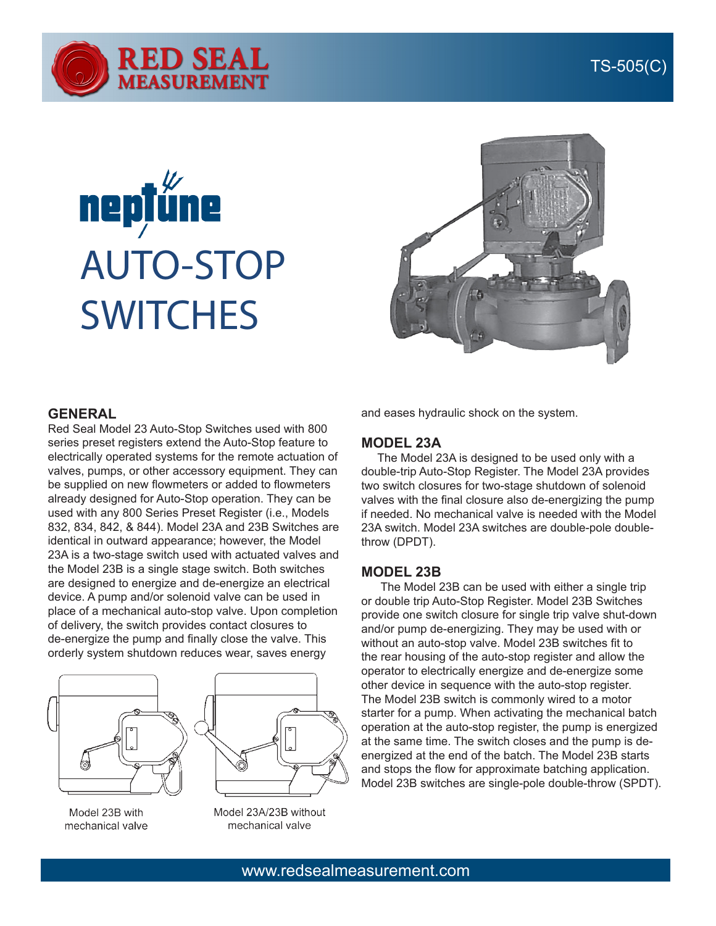

# **nepțůne** AUTO-STOP **SWITCHES**



### **GENERAL**

Red Seal Model 23 Auto-Stop Switches used with 800 series preset registers extend the Auto-Stop feature to electrically operated systems for the remote actuation of valves, pumps, or other accessory equipment. They can be supplied on new flowmeters or added to flowmeters already designed for Auto-Stop operation. They can be used with any 800 Series Preset Register (i.e., Models 832, 834, 842, & 844). Model 23A and 23B Switches are identical in outward appearance; however, the Model 23A is a two-stage switch used with actuated valves and the Model 23B is a single stage switch. Both switches are designed to energize and de-energize an electrical device. A pump and/or solenoid valve can be used in place of a mechanical auto-stop valve. Upon completion of delivery, the switch provides contact closures to de-energize the pump and finally close the valve. This orderly system shutdown reduces wear, saves energy





Model 23B with mechanical valve Model 23A/23B without mechanical valve

and eases hydraulic shock on the system.

#### **MODEL 23A**

 The Model 23A is designed to be used only with a double-trip Auto-Stop Register. The Model 23A provides two switch closures for two-stage shutdown of solenoid valves with the final closure also de-energizing the pump if needed. No mechanical valve is needed with the Model 23A switch. Model 23A switches are double-pole doublethrow (DPDT).

#### **MODEL 23B**

 The Model 23B can be used with either a single trip or double trip Auto-Stop Register. Model 23B Switches provide one switch closure for single trip valve shut-down and/or pump de-energizing. They may be used with or without an auto-stop valve. Model 23B switches fit to the rear housing of the auto-stop register and allow the operator to electrically energize and de-energize some other device in sequence with the auto-stop register. The Model 23B switch is commonly wired to a motor starter for a pump. When activating the mechanical batch operation at the auto-stop register, the pump is energized at the same time. The switch closes and the pump is deenergized at the end of the batch. The Model 23B starts and stops the flow for approximate batching application. Model 23B switches are single-pole double-throw (SPDT).